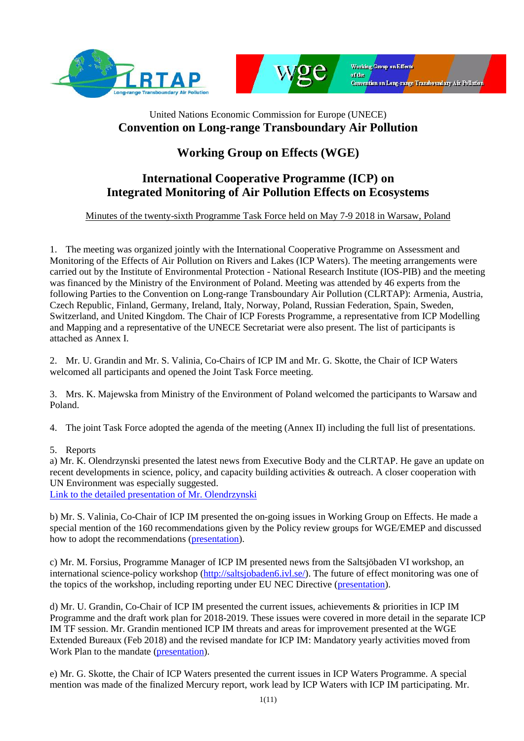



## United Nations Economic Commission for Europe (UNECE) **Convention on Long-range Transboundary Air Pollution**

## **Working Group on Effects (WGE)**

## **International Cooperative Programme (ICP) on Integrated Monitoring of Air Pollution Effects on Ecosystems**

#### Minutes of the twenty-sixth Programme Task Force held on May 7-9 2018 in Warsaw, Poland

1. The meeting was organized jointly with the International Cooperative Programme on Assessment and Monitoring of the Effects of Air Pollution on Rivers and Lakes (ICP Waters). The meeting arrangements were carried out by the Institute of Environmental Protection - National Research Institute (IOS-PIB) and the meeting was financed by the Ministry of the Environment of Poland. Meeting was attended by 46 experts from the following Parties to the Convention on Long-range Transboundary Air Pollution (CLRTAP): Armenia, Austria, Czech Republic, Finland, Germany, Ireland, Italy, Norway, Poland, Russian Federation, Spain, Sweden, Switzerland, and United Kingdom. The Chair of ICP Forests Programme, a representative from ICP Modelling and Mapping and a representative of the UNECE Secretariat were also present. The list of participants is attached as Annex I.

2. Mr. U. Grandin and Mr. S. Valinia, Co-Chairs of ICP IM and Mr. G. Skotte, the Chair of ICP Waters welcomed all participants and opened the Joint Task Force meeting.

3. Mrs. K. Majewska from Ministry of the Environment of Poland welcomed the participants to Warsaw and Poland.

4. The joint Task Force adopted the agenda of the meeting (Annex II) including the full list of presentations.

#### 5. Reports

a) Mr. K. Olendrzynski presented the latest news from Executive Body and the CLRTAP. He gave an update on recent developments in science, policy, and capacity building activities & outreach. A closer cooperation with UN Environment was especially suggested.

[Link to the detailed presentation](http://www.syke.fi/download/noname/%7BCAE5D902-E722-4708-BF6D-62B7068D0633%7D/137352) of Mr. Olendrzynski

b) Mr. S. Valinia, Co-Chair of ICP IM presented the on-going issues in Working Group on Effects. He made a special mention of the 160 recommendations given by the Policy review groups for WGE/EMEP and discussed how to adopt the recommendations [\(presentation\)](http://www.syke.fi/download/noname/%7B15B53541-1253-4E13-BCE3-4D227DD3F46A%7D/137347).

c) Mr. M. Forsius, Programme Manager of ICP IM presented news from the Saltsjöbaden VI workshop, an international science-policy workshop [\(http://saltsjobaden6.ivl.se/\)](http://saltsjobaden6.ivl.se/). The future of effect monitoring was one of the topics of the workshop, including reporting under EU NEC Directive [\(presentation\)](http://www.syke.fi/download/noname/%7B028524FB-8396-41AE-BCC0-945D62CE9EBF%7D/137348).

d) Mr. U. Grandin, Co-Chair of ICP IM presented the current issues, achievements & priorities in ICP IM Programme and the draft work plan for 2018-2019. These issues were covered in more detail in the separate ICP IM TF session. Mr. Grandin mentioned ICP IM threats and areas for improvement presented at the WGE Extended Bureaux (Feb 2018) and the revised mandate for ICP IM: Mandatory yearly activities moved from Work Plan to the mandate [\(presentation\)](http://www.syke.fi/download/noname/%7BF729A11B-9C23-4137-B908-DA2701523D4A%7D/137349).

e) Mr. G. Skotte, the Chair of ICP Waters presented the current issues in ICP Waters Programme. A special mention was made of the finalized Mercury report, work lead by ICP Waters with ICP IM participating. Mr.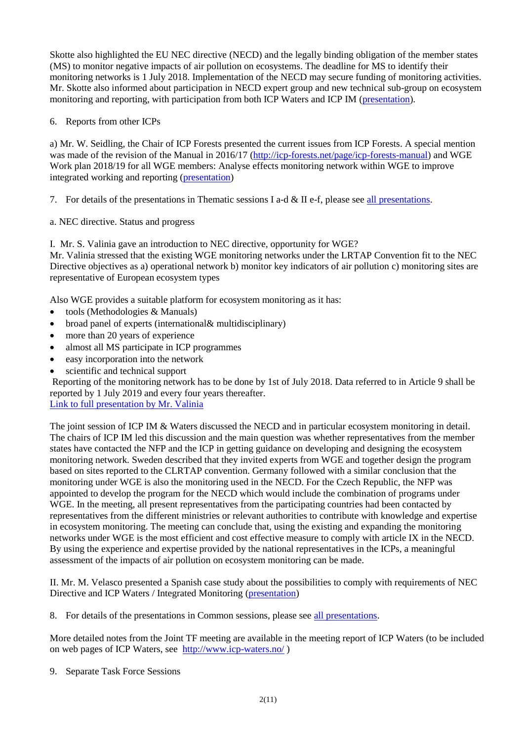Skotte also highlighted the EU NEC directive (NECD) and the legally binding obligation of the member states (MS) to monitor negative impacts of air pollution on ecosystems. The deadline for MS to identify their monitoring networks is 1 July 2018. Implementation of the NECD may secure funding of monitoring activities. Mr. Skotte also informed about participation in NECD expert group and new technical sub-group on ecosystem monitoring and reporting, with participation from both ICP Waters and ICP IM [\(presentation\)](http://www.syke.fi/download/noname/%7B2F0503BF-69EA-4447-A07E-DC69F72288C8%7D/137350).

6. Reports from other ICPs

a) Mr. W. Seidling, the Chair of ICP Forests presented the current issues from ICP Forests. A special mention was made of the revision of the Manual in 2016/17 [\(http://icp-forests.net/page/icp-forests-manual\)](http://icp-forests.net/page/icp-forests-manual) and WGE Work plan 2018/19 for all WGE members: Analyse effects monitoring network within WGE to improve integrated working and reporting [\(presentation\)](http://www.syke.fi/download/noname/%7B6F500B0F-68DA-4805-AE17-6D9E091E7AF7%7D/137351)

7. For details of the presentations in Thematic sessions I a-d  $\&$  II e-f, please see [all presentations.](http://www.syke.fi/en-US/Research__Development/Ecosystem_services/Monitoring/Integrated_Monitoring/ICP_IM_Meetings/Joint_ICP_Waters_and_ICP_IM_Task_Force_2018__presentations/Joint_ICP_Waters_and_ICP_IM_Task_Force_m(46762))

a. NEC directive. Status and progress

I. Mr. S. Valinia gave an introduction to NEC directive, opportunity for WGE?

Mr. Valinia stressed that the existing WGE monitoring networks under the LRTAP Convention fit to the NEC Directive objectives as a) operational network b) monitor key indicators of air pollution c) monitoring sites are representative of European ecosystem types

Also WGE provides a suitable platform for ecosystem monitoring as it has:

- tools (Methodologies & Manuals)
- broad panel of experts (international& multidisciplinary)
- more than 20 years of experience
- almost all MS participate in ICP programmes
- easy incorporation into the network
- scientific and technical support

Reporting of the monitoring network has to be done by 1st of July 2018. Data referred to in Article 9 shall be reported by 1 July 2019 and every four years thereafter. [Link to full presentation by Mr. Valinia](http://www.syke.fi/download/noname/%7B4F3B93E7-D6BA-4F71-AFB6-0BA73AAA8792%7D/137408)

The joint session of ICP IM & Waters discussed the NECD and in particular ecosystem monitoring in detail. The chairs of ICP IM led this discussion and the main question was whether representatives from the member states have contacted the NFP and the ICP in getting guidance on developing and designing the ecosystem monitoring network. Sweden described that they invited experts from WGE and together design the program based on sites reported to the CLRTAP convention. Germany followed with a similar conclusion that the monitoring under WGE is also the monitoring used in the NECD. For the Czech Republic, the NFP was appointed to develop the program for the NECD which would include the combination of programs under WGE. In the meeting, all present representatives from the participating countries had been contacted by representatives from the different ministries or relevant authorities to contribute with knowledge and expertise in ecosystem monitoring. The meeting can conclude that, using the existing and expanding the monitoring networks under WGE is the most efficient and cost effective measure to comply with article IX in the NECD. By using the experience and expertise provided by the national representatives in the ICPs, a meaningful assessment of the impacts of air pollution on ecosystem monitoring can be made.

II. Mr. M. Velasco presented a Spanish case study about the possibilities to comply with requirements of NEC Directive and ICP Waters / Integrated Monitoring [\(presentation\)](http://www.syke.fi/download/noname/%7BDCC0AB1B-A6BB-4A1D-BC9E-6D1D12A888F3%7D/137454)

8. For details of the presentations in Common sessions, please see [all presentations.](http://www.syke.fi/en-US/Research__Development/Ecosystem_services/Monitoring/Integrated_Monitoring/ICP_IM_Meetings/Joint_ICP_Waters_and_ICP_IM_Task_Force_2018__presentations/Joint_ICP_Waters_and_ICP_IM_Task_Force_m(46762))

More detailed notes from the Joint TF meeting are available in the meeting report of ICP Waters (to be included on web pages of ICP Waters, see <http://www.icp-waters.no/> )

9. Separate Task Force Sessions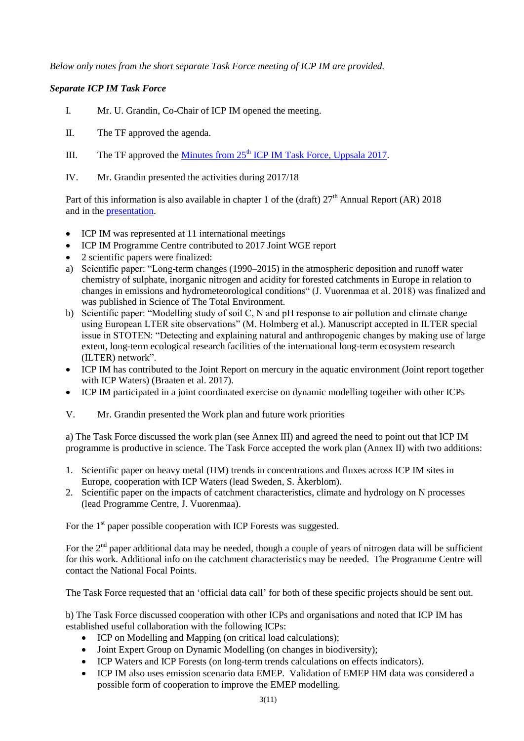*Below only notes from the short separate Task Force meeting of ICP IM are provided.*

#### *Separate ICP IM Task Force*

- I. Mr. U. Grandin, Co-Chair of ICP IM opened the meeting.
- II. The TF approved the agenda.
- III. The TF approved the Minutes from  $25<sup>th</sup>$  [ICP IM Task Force, Uppsala 2017.](http://www.syke.fi/download/noname/%7B34474C77-EE16-4BBF-AFE1-302E2CE8D578%7D/128406)
- IV. Mr. Grandin presented the activities during 2017/18

Part of this information is also available in chapter 1 of the (draft)  $27<sup>th</sup>$  Annual Report (AR) 2018 and in the [presentation.](http://www.syke.fi/download/noname/%7B43DD32A8-91D2-4566-ABC4-751DE9CF6F68%7D/137417)

- ICP IM was represented at 11 international meetings
- ICP IM Programme Centre contributed to 2017 Joint WGE report
- 2 scientific papers were finalized:
- a) Scientific paper: "Long-term changes (1990–2015) in the atmospheric deposition and runoff water chemistry of sulphate, inorganic nitrogen and acidity for forested catchments in Europe in relation to changes in emissions and hydrometeorological conditions" (J. Vuorenmaa et al. 2018) was finalized and was published in Science of The Total Environment.
- b) Scientific paper: "Modelling study of soil C, N and pH response to air pollution and climate change using European LTER site observations" (M. Holmberg et al.). Manuscript accepted in ILTER special issue in STOTEN: "Detecting and explaining natural and anthropogenic changes by making use of large extent, long-term ecological research facilities of the international long-term ecosystem research (ILTER) network".
- ICP IM has contributed to the Joint Report on mercury in the aquatic environment (Joint report together with ICP Waters) (Braaten et al. 2017).
- ICP IM participated in a joint coordinated exercise on dynamic modelling together with other ICPs
- V. Mr. Grandin presented the Work plan and future work priorities

a) The Task Force discussed the work plan (see Annex III) and agreed the need to point out that ICP IM programme is productive in science. The Task Force accepted the work plan (Annex II) with two additions:

- 1. Scientific paper on heavy metal (HM) trends in concentrations and fluxes across ICP IM sites in Europe, cooperation with ICP Waters (lead Sweden, S. Åkerblom).
- 2. Scientific paper on the impacts of catchment characteristics, climate and hydrology on N processes (lead Programme Centre, J. Vuorenmaa).

For the  $1<sup>st</sup>$  paper possible cooperation with ICP Forests was suggested.

For the 2<sup>nd</sup> paper additional data may be needed, though a couple of years of nitrogen data will be sufficient for this work. Additional info on the catchment characteristics may be needed. The Programme Centre will contact the National Focal Points.

The Task Force requested that an 'official data call' for both of these specific projects should be sent out.

b) The Task Force discussed cooperation with other ICPs and organisations and noted that ICP IM has established useful collaboration with the following ICPs:

- ICP on Modelling and Mapping (on critical load calculations);
- Joint Expert Group on Dynamic Modelling (on changes in biodiversity);
- ICP Waters and ICP Forests (on long-term trends calculations on effects indicators).
- ICP IM also uses emission scenario data EMEP. Validation of EMEP HM data was considered a possible form of cooperation to improve the EMEP modelling.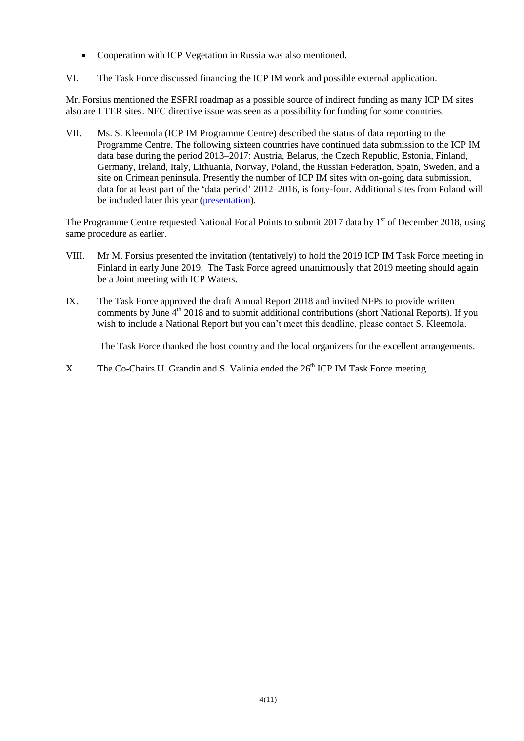- Cooperation with ICP Vegetation in Russia was also mentioned.
- VI. The Task Force discussed financing the ICP IM work and possible external application.

Mr. Forsius mentioned the ESFRI roadmap as a possible source of indirect funding as many ICP IM sites also are LTER sites. NEC directive issue was seen as a possibility for funding for some countries.

VII. Ms. S. Kleemola (ICP IM Programme Centre) described the status of data reporting to the Programme Centre. The following sixteen countries have continued data submission to the ICP IM data base during the period 2013–2017: Austria, Belarus, the Czech Republic, Estonia, Finland, Germany, Ireland, Italy, Lithuania, Norway, Poland, the Russian Federation, Spain, Sweden, and a site on Crimean peninsula. Presently the number of ICP IM sites with on-going data submission, data for at least part of the 'data period' 2012–2016, is forty-four. Additional sites from Poland will be included later this year [\(presentation\)](http://www.syke.fi/download/noname/%7BC1934AAE-FC3F-48B9-ACE6-EE03EE5FEEF9%7D/137418).

The Programme Centre requested National Focal Points to submit 2017 data by 1<sup>st</sup> of December 2018, using same procedure as earlier.

- VIII. Mr M. Forsius presented the invitation (tentatively) to hold the 2019 ICP IM Task Force meeting in Finland in early June 2019. The Task Force agreed unanimously that 2019 meeting should again be a Joint meeting with ICP Waters.
- IX. The Task Force approved the draft Annual Report 2018 and invited NFPs to provide written comments by June 4<sup>th</sup> 2018 and to submit additional contributions (short National Reports). If you wish to include a National Report but you can't meet this deadline, please contact S. Kleemola.

The Task Force thanked the host country and the local organizers for the excellent arrangements.

X. The Co-Chairs U. Grandin and S. Valinia ended the 26<sup>th</sup> ICP IM Task Force meeting.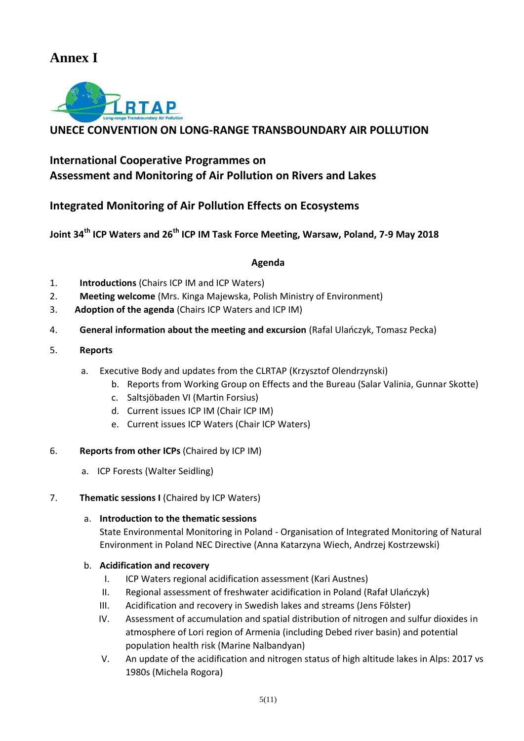## **Annex I**



### **UNECE CONVENTION ON LONG-RANGE TRANSBOUNDARY AIR POLLUTION**

## **International Cooperative Programmes on Assessment and Monitoring of Air Pollution on Rivers and Lakes**

### **Integrated Monitoring of Air Pollution Effects on Ecosystems**

**Joint 34th ICP Waters and 26th ICP IM Task Force Meeting, Warsaw, Poland, 7-9 May 2018**

#### **Agenda**

- 1. **Introductions** (Chairs ICP IM and ICP Waters)
- 2. **Meeting welcome** (Mrs. Kinga Majewska, Polish Ministry of Environment)
- 3. **Adoption of the agenda** (Chairs ICP Waters and ICP IM)
- 4. **General information about the meeting and excursion** (Rafal Ulańczyk, Tomasz Pecka)
- 5. **Reports**
	- a. Executive Body and updates from the CLRTAP (Krzysztof Olendrzynski)
		- b. Reports from Working Group on Effects and the Bureau (Salar Valinia, Gunnar Skotte)
		- c. Saltsjöbaden VI (Martin Forsius)
		- d. Current issues ICP IM (Chair ICP IM)
		- e. Current issues ICP Waters (Chair ICP Waters)
- 6. **Reports from other ICPs** (Chaired by ICP IM)
	- a. ICP Forests (Walter Seidling)

#### 7. **Thematic sessions I** (Chaired by ICP Waters)

a. **Introduction to the thematic sessions**

State Environmental Monitoring in Poland - Organisation of Integrated Monitoring of Natural Environment in Poland NEC Directive (Anna Katarzyna Wiech, Andrzej Kostrzewski)

#### b. **Acidification and recovery**

- I. ICP Waters regional acidification assessment (Kari Austnes)
- II. Regional assessment of freshwater acidification in Poland (Rafał Ulańczyk)
- III. Acidification and recovery in Swedish lakes and streams (Jens Fölster)
- IV. Assessment of accumulation and spatial distribution of nitrogen and sulfur dioxides in atmosphere of Lori region of Armenia (including Debed river basin) and potential population health risk (Marine Nalbandyan)
- V. An update of the acidification and nitrogen status of high altitude lakes in Alps: 2017 vs 1980s (Michela Rogora)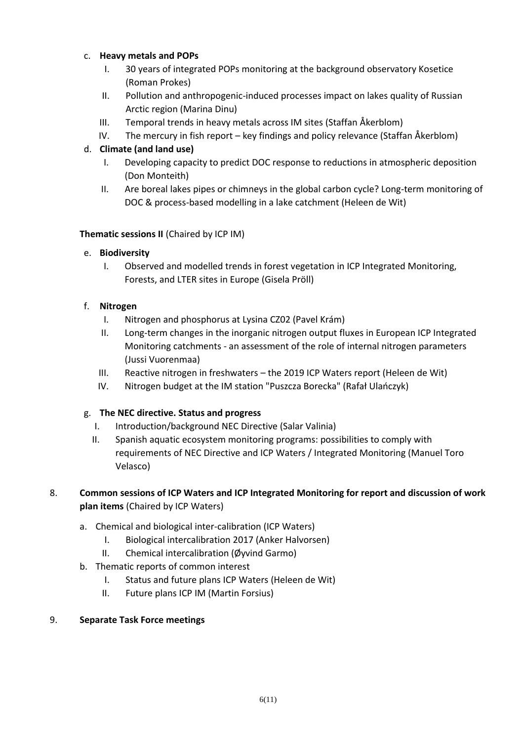#### c. **Heavy metals and POPs**

- I. 30 years of integrated POPs monitoring at the background observatory Kosetice (Roman Prokes)
- II. Pollution and anthropogenic-induced processes impact on lakes quality of Russian Arctic region (Marina Dinu)
- III. Temporal trends in heavy metals across IM sites (Staffan Åkerblom)
- IV. The mercury in fish report key findings and policy relevance (Staffan Åkerblom)

#### d. **Climate (and land use)**

- I. Developing capacity to predict DOC response to reductions in atmospheric deposition (Don Monteith)
- II. Are boreal lakes pipes or chimneys in the global carbon cycle? Long-term monitoring of DOC & process-based modelling in a lake catchment (Heleen de Wit)

#### **Thematic sessions II** (Chaired by ICP IM)

#### e. **Biodiversity**

I. Observed and modelled trends in forest vegetation in ICP Integrated Monitoring, Forests, and LTER sites in Europe (Gisela Pröll)

#### f. **Nitrogen**

- I. Nitrogen and phosphorus at Lysina CZ02 (Pavel Krám)
- II. Long-term changes in the inorganic nitrogen output fluxes in European ICP Integrated Monitoring catchments - an assessment of the role of internal nitrogen parameters (Jussi Vuorenmaa)
- III. Reactive nitrogen in freshwaters the 2019 ICP Waters report (Heleen de Wit)
- IV. Nitrogen budget at the IM station "Puszcza Borecka" (Rafał Ulańczyk)

#### g. **The NEC directive. Status and progress**

- I. Introduction/background NEC Directive (Salar Valinia)
- II. Spanish aquatic ecosystem monitoring programs: possibilities to comply with requirements of NEC Directive and ICP Waters / Integrated Monitoring (Manuel Toro Velasco)

#### 8. **Common sessions of ICP Waters and ICP Integrated Monitoring for report and discussion of work plan items** (Chaired by ICP Waters)

- a. Chemical and biological inter-calibration (ICP Waters)
	- I. Biological intercalibration 2017 (Anker Halvorsen)
	- II. Chemical intercalibration (Øyvind Garmo)
- b. Thematic reports of common interest
	- I. Status and future plans ICP Waters (Heleen de Wit)
	- II. Future plans ICP IM (Martin Forsius)

#### 9. **Separate Task Force meetings**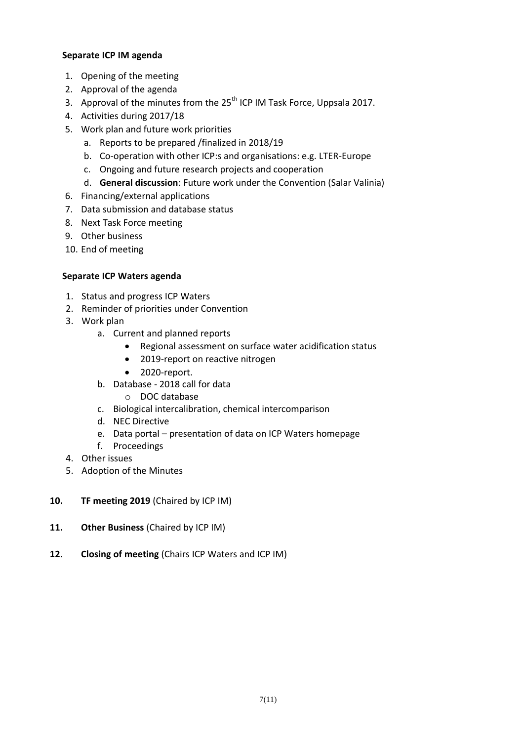#### **Separate ICP IM agenda**

- 1. Opening of the meeting
- 2. Approval of the agenda
- 3. Approval of the minutes from the  $25<sup>th</sup>$  ICP IM Task Force, Uppsala 2017.
- 4. Activities during 2017/18
- 5. Work plan and future work priorities
	- a. Reports to be prepared /finalized in 2018/19
	- b. Co-operation with other ICP:s and organisations: e.g. LTER-Europe
	- c. Ongoing and future research projects and cooperation
	- d. **General discussion**: Future work under the Convention (Salar Valinia)
- 6. Financing/external applications
- 7. Data submission and database status
- 8. Next Task Force meeting
- 9. Other business
- 10. End of meeting

#### **Separate ICP Waters agenda**

- 1. Status and progress ICP Waters
- 2. Reminder of priorities under Convention
- 3. Work plan
	- a. Current and planned reports
		- Regional assessment on surface water acidification status
		- 2019-report on reactive nitrogen
		- 2020-report.
	- b. Database 2018 call for data
		- o DOC database
	- c. Biological intercalibration, chemical intercomparison
	- d. NEC Directive
	- e. Data portal presentation of data on ICP Waters homepage
	- f. Proceedings
- 4. Other issues
- 5. Adoption of the Minutes
- **10. TF meeting 2019** (Chaired by ICP IM)
- **11. Other Business** (Chaired by ICP IM)
- **12. Closing of meeting** (Chairs ICP Waters and ICP IM)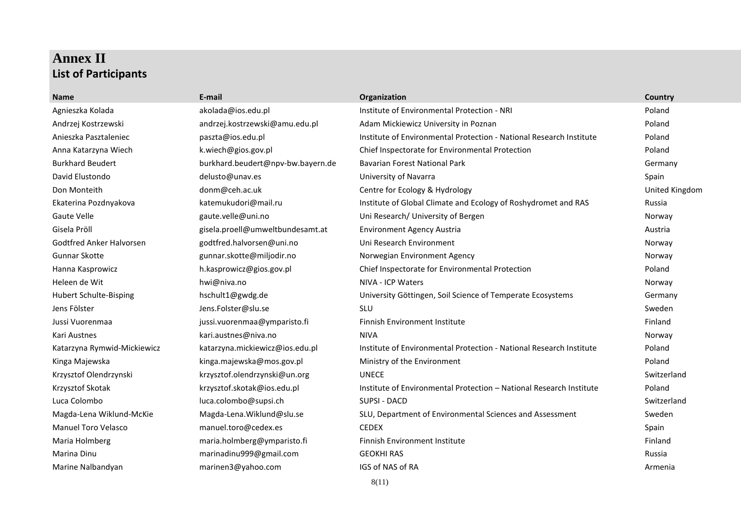## **Annex II List of Participants**

| <b>Name</b>                 | E-mail                            | Organization                                                        | Country        |
|-----------------------------|-----------------------------------|---------------------------------------------------------------------|----------------|
| Agnieszka Kolada            | akolada@ios.edu.pl                | Institute of Environmental Protection - NRI                         | Poland         |
| Andrzej Kostrzewski         | andrzej.kostrzewski@amu.edu.pl    | Adam Mickiewicz University in Poznan                                | Poland         |
| Anieszka Pasztaleniec       | paszta@ios.edu.pl                 | Institute of Environmental Protection - National Research Institute | Poland         |
| Anna Katarzyna Wiech        | k.wiech@gios.gov.pl               | Chief Inspectorate for Environmental Protection                     | Poland         |
| <b>Burkhard Beudert</b>     | burkhard.beudert@npv-bw.bayern.de | <b>Bavarian Forest National Park</b>                                | Germany        |
| David Elustondo             | delusto@unav.es                   | University of Navarra                                               | Spain          |
| Don Monteith                | donm@ceh.ac.uk                    | Centre for Ecology & Hydrology                                      | United Kingdom |
| Ekaterina Pozdnyakova       | katemukudori@mail.ru              | Institute of Global Climate and Ecology of Roshydromet and RAS      | Russia         |
| <b>Gaute Velle</b>          | gaute.velle@uni.no                | Uni Research/ University of Bergen                                  | Norway         |
| Gisela Pröll                | gisela.proell@umweltbundesamt.at  | <b>Environment Agency Austria</b>                                   | Austria        |
| Godtfred Anker Halvorsen    | godtfred.halvorsen@uni.no         | Uni Research Environment                                            | Norway         |
| <b>Gunnar Skotte</b>        | gunnar.skotte@miljodir.no         | Norwegian Environment Agency                                        | Norway         |
| Hanna Kasprowicz            | h.kasprowicz@gios.gov.pl          | Chief Inspectorate for Environmental Protection                     | Poland         |
| Heleen de Wit               | hwi@niva.no                       | NIVA - ICP Waters                                                   | Norway         |
| Hubert Schulte-Bisping      | hschult1@gwdg.de                  | University Göttingen, Soil Science of Temperate Ecosystems          | Germany        |
| Jens Fölster                | Jens.Folster@slu.se               | <b>SLU</b>                                                          | Sweden         |
| Jussi Vuorenmaa             | jussi.vuorenmaa@ymparisto.fi      | <b>Finnish Environment Institute</b>                                | Finland        |
| Kari Austnes                | kari.austnes@niva.no              | <b>NIVA</b>                                                         | Norway         |
| Katarzyna Rymwid-Mickiewicz | katarzyna.mickiewicz@ios.edu.pl   | Institute of Environmental Protection - National Research Institute | Poland         |
| Kinga Majewska              | kinga.majewska@mos.gov.pl         | Ministry of the Environment                                         | Poland         |
| Krzysztof Olendrzynski      | krzysztof.olendrzynski@un.org     | <b>UNECE</b>                                                        | Switzerland    |
| Krzysztof Skotak            | krzysztof.skotak@ios.edu.pl       | Institute of Environmental Protection - National Research Institute | Poland         |
| Luca Colombo                | luca.colombo@supsi.ch             | SUPSI - DACD                                                        | Switzerland    |
| Magda-Lena Wiklund-McKie    | Magda-Lena. Wiklund@slu.se        | SLU, Department of Environmental Sciences and Assessment            | Sweden         |
| <b>Manuel Toro Velasco</b>  | manuel.toro@cedex.es              | <b>CEDEX</b>                                                        | Spain          |
| Maria Holmberg              | maria.holmberg@ymparisto.fi       | <b>Finnish Environment Institute</b>                                | Finland        |
| Marina Dinu                 | marinadinu999@gmail.com           | <b>GEOKHI RAS</b>                                                   | Russia         |
| Marine Nalbandyan           | marinen3@yahoo.com                | IGS of NAS of RA                                                    | Armenia        |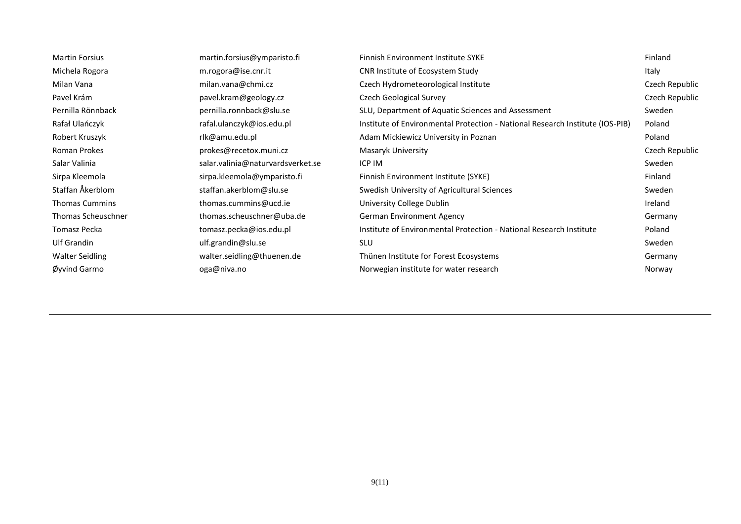| <b>Martin Forsius</b>  | martin.forsius@ymparisto.fi       | <b>Finnish Environment Institute SYKE</b>                                     | Finland        |
|------------------------|-----------------------------------|-------------------------------------------------------------------------------|----------------|
| Michela Rogora         | m.rogora@ise.cnr.it               | <b>CNR Institute of Ecosystem Study</b>                                       | Italy          |
| Milan Vana             | milan.vana@chmi.cz                | Czech Hydrometeorological Institute                                           | Czech Republic |
| Pavel Krám             | pavel.kram@geology.cz             | <b>Czech Geological Survey</b>                                                | Czech Republic |
| Pernilla Rönnback      | pernilla.ronnback@slu.se          | SLU, Department of Aquatic Sciences and Assessment                            | Sweden         |
| Rafał Ulańczyk         | rafal.ulanczyk@ios.edu.pl         | Institute of Environmental Protection - National Research Institute (IOS-PIB) | Poland         |
| Robert Kruszyk         | rlk@amu.edu.pl                    | Adam Mickiewicz University in Poznan                                          | Poland         |
| Roman Prokes           | prokes@recetox.muni.cz            | Masaryk University                                                            | Czech Republic |
| Salar Valinia          | salar.valinia@naturvardsverket.se | ICP IM                                                                        | Sweden         |
| Sirpa Kleemola         | sirpa.kleemola@ymparisto.fi       | Finnish Environment Institute (SYKE)                                          | Finland        |
| Staffan Åkerblom       | staffan.akerblom@slu.se           | Swedish University of Agricultural Sciences                                   | Sweden         |
| <b>Thomas Cummins</b>  | thomas.cummins@ucd.ie             | University College Dublin                                                     | Ireland        |
| Thomas Scheuschner     | thomas.scheuschner@uba.de         | <b>German Environment Agency</b>                                              | Germany        |
| Tomasz Pecka           | tomasz.pecka@ios.edu.pl           | Institute of Environmental Protection - National Research Institute           | Poland         |
| Ulf Grandin            | ulf.grandin@slu.se                | <b>SLU</b>                                                                    | Sweden         |
| <b>Walter Seidling</b> | walter.seidling@thuenen.de        | Thünen Institute for Forest Ecosystems                                        | Germany        |
| Øvvind Garmo           | oga@niva.no                       | Norwegian institute for water research                                        | Norway         |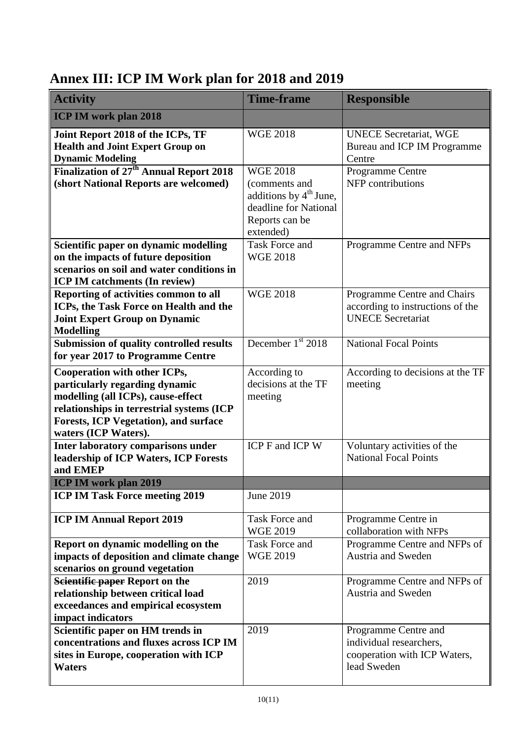# **Annex III: ICP IM Work plan for 2018 and 2019**

| <b>Activity</b>                                                                                                                                                                                                    | <b>Time-frame</b>                                                                                                    | <b>Responsible</b>                                                                             |
|--------------------------------------------------------------------------------------------------------------------------------------------------------------------------------------------------------------------|----------------------------------------------------------------------------------------------------------------------|------------------------------------------------------------------------------------------------|
| <b>ICP IM work plan 2018</b>                                                                                                                                                                                       |                                                                                                                      |                                                                                                |
| Joint Report 2018 of the ICPs, TF<br><b>Health and Joint Expert Group on</b><br><b>Dynamic Modeling</b>                                                                                                            | <b>WGE 2018</b>                                                                                                      | <b>UNECE Secretariat, WGE</b><br>Bureau and ICP IM Programme<br>Centre                         |
| Finalization of 27 <sup>th</sup> Annual Report 2018<br>(short National Reports are welcomed)                                                                                                                       | <b>WGE 2018</b><br>(comments and<br>additions by $4th$ June,<br>deadline for National<br>Reports can be<br>extended) | Programme Centre<br>NFP contributions                                                          |
| Scientific paper on dynamic modelling<br>on the impacts of future deposition<br>scenarios on soil and water conditions in<br><b>ICP IM catchments (In review)</b>                                                  | Task Force and<br><b>WGE 2018</b>                                                                                    | Programme Centre and NFPs                                                                      |
| Reporting of activities common to all<br>ICPs, the Task Force on Health and the<br><b>Joint Expert Group on Dynamic</b><br><b>Modelling</b>                                                                        | <b>WGE 2018</b>                                                                                                      | Programme Centre and Chairs<br>according to instructions of the<br><b>UNECE</b> Secretariat    |
| <b>Submission of quality controlled results</b><br>for year 2017 to Programme Centre                                                                                                                               | December $1st$ 2018                                                                                                  | <b>National Focal Points</b>                                                                   |
| Cooperation with other ICPs,<br>particularly regarding dynamic<br>modelling (all ICPs), cause-effect<br>relationships in terrestrial systems (ICP<br>Forests, ICP Vegetation), and surface<br>waters (ICP Waters). | According to<br>decisions at the TF<br>meeting                                                                       | According to decisions at the TF<br>meeting                                                    |
| <b>Inter laboratory comparisons under</b><br>leadership of ICP Waters, ICP Forests<br>and EMEP                                                                                                                     | ICP F and ICP W                                                                                                      | Voluntary activities of the<br><b>National Focal Points</b>                                    |
| <b>ICP IM work plan 2019</b>                                                                                                                                                                                       |                                                                                                                      |                                                                                                |
| <b>ICP IM Task Force meeting 2019</b>                                                                                                                                                                              | June 2019                                                                                                            |                                                                                                |
| <b>ICP IM Annual Report 2019</b>                                                                                                                                                                                   | Task Force and<br><b>WGE 2019</b>                                                                                    | Programme Centre in<br>collaboration with NFPs                                                 |
| Report on dynamic modelling on the<br>impacts of deposition and climate change<br>scenarios on ground vegetation                                                                                                   | Task Force and<br><b>WGE 2019</b>                                                                                    | Programme Centre and NFPs of<br><b>Austria and Sweden</b>                                      |
| Scientific paper Report on the<br>relationship between critical load<br>exceedances and empirical ecosystem<br>impact indicators                                                                                   | 2019                                                                                                                 | Programme Centre and NFPs of<br><b>Austria and Sweden</b>                                      |
| Scientific paper on HM trends in<br>concentrations and fluxes across ICP IM<br>sites in Europe, cooperation with ICP<br>Waters                                                                                     | 2019                                                                                                                 | Programme Centre and<br>individual researchers,<br>cooperation with ICP Waters,<br>lead Sweden |